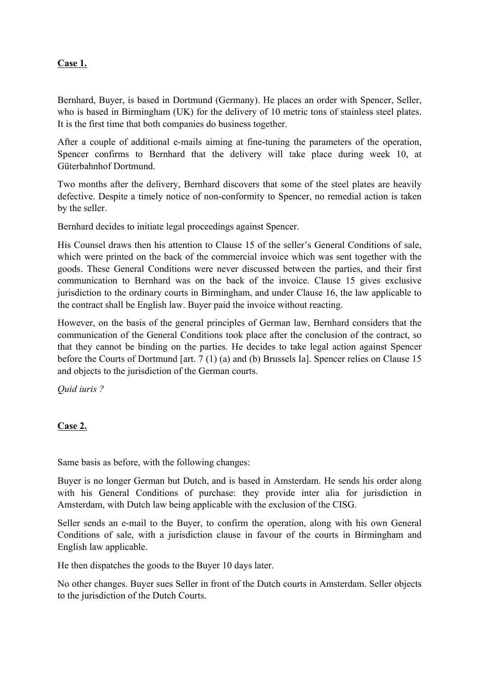## **Case 1.**

Bernhard, Buyer, is based in Dortmund (Germany). He places an order with Spencer, Seller, who is based in Birmingham (UK) for the delivery of 10 metric tons of stainless steel plates. It is the first time that both companies do business together.

After a couple of additional e-mails aiming at fine-tuning the parameters of the operation, Spencer confirms to Bernhard that the delivery will take place during week 10, at Güterbahnhof Dortmund.

Two months after the delivery, Bernhard discovers that some of the steel plates are heavily defective. Despite a timely notice of non-conformity to Spencer, no remedial action is taken by the seller.

Bernhard decides to initiate legal proceedings against Spencer.

His Counsel draws then his attention to Clause 15 of the seller's General Conditions of sale, which were printed on the back of the commercial invoice which was sent together with the goods. These General Conditions were never discussed between the parties, and their first communication to Bernhard was on the back of the invoice. Clause 15 gives exclusive jurisdiction to the ordinary courts in Birmingham, and under Clause 16, the law applicable to the contract shall be English law. Buyer paid the invoice without reacting.

However, on the basis of the general principles of German law, Bernhard considers that the communication of the General Conditions took place after the conclusion of the contract, so that they cannot be binding on the parties. He decides to take legal action against Spencer before the Courts of Dortmund [art. 7 (1) (a) and (b) Brussels Ia]. Spencer relies on Clause 15 and objects to the jurisdiction of the German courts.

*Quid iuris ?*

## **Case 2.**

Same basis as before, with the following changes:

Buyer is no longer German but Dutch, and is based in Amsterdam. He sends his order along with his General Conditions of purchase: they provide inter alia for jurisdiction in Amsterdam, with Dutch law being applicable with the exclusion of the CISG.

Seller sends an e-mail to the Buyer, to confirm the operation, along with his own General Conditions of sale, with a jurisdiction clause in favour of the courts in Birmingham and English law applicable.

He then dispatches the goods to the Buyer 10 days later.

No other changes. Buyer sues Seller in front of the Dutch courts in Amsterdam. Seller objects to the jurisdiction of the Dutch Courts.